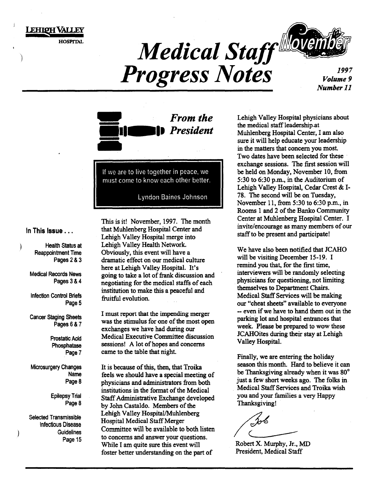

)



Progress Notes Volume? *Volume 9 Number]]* 



If we are to live together in peace, we must come to know each other better.

**Lyndon Baines Johnson** 

#### In This Issue . . .

Health Status at Reappointment Time Pages 2& 3

Medical Records News Pages 3 &4

Infection Control Briefs Page 5

Cancer Staging Sheets Pages 6 & 7

> Prostatic Acid Phosphatase Page 7

Microsurgery Changes Name Page 8

> Epilepsy Trial Page 8

Selected Transmissible Infectious Disease **Guidelines** Page 15

This is it! November, 1997. The month that Muhlenberg Hospital Center and Lehigh Valley Hospital merge into Lehigh Valley Health Network. Obviously, this event will have a dramatic effect on our medical culture here at Lehigh Valley Hospital. It's going to take a lot of frank discussion and negotiating for the medical staffs of each institution to make this a peaceful and fruitful evolution.

I must report that the impending merger was the stimulus for one of the most open exchanges we have had during our Medical Executive Committee discussion sessions! A lot of hopes and concerns came to the table that night.

It is because of this, then, that Troika feels we should have a special meeting of physicians and administrators from both institutions in the format of the Medical Staff Administrative Exchange developed by John Castaldo. Members of the Lehigh Valley Hospital/Muhlenberg Hospital Medical Staff Merger Committee will be available to both listen to concerns and answer your questions. While I am quite sure this event will foster better understanding on the part of

Lehigh Valley Hospital physicians about the medical staff leadership-at Muhlenberg Hospital Center, I am also sure it will help educate your leadership in the matters that concern you most. Two dates have been selected for these exchange sessions. The first session will be held on Monday, November 10, from 5:30 to 6:30 p.m., in the Auditorium of Lehigh Valley Hospital, Cedar Crest & 1- 78. The second will be on Tuesday, November 11, from 5:30 to 6:30 p.m., in Rooms 1 and 2 of the Banko Community Center at Muhlenberg Hospital Center. I invite/encourage as many members of our staff to be present and participate!

We have also been notified that JCAHO will be visiting December 15-19. I remind you that, for the first time, interviewers will be randomly selecting physicians for questioning, not limiting themselves to Department Chairs. Medical Staff Services will be making our "cheat sheets" available to everyone -- even if we have to hand them out in the parking lot and hospital entrances that week. Please be prepared to wow these JCAHOites during their stay at Lehigh Valley Hospital.

Finally, we are entering the holiday season this month. Hard to believe it can be Thanksgiving already when it was 80° just a few short weeks ago. The folks in. Medical Staff Services and Troika wish you and your families a very Happy Thanksgiving!

Robert X. Murphy, Jr., MD President, Medical Staff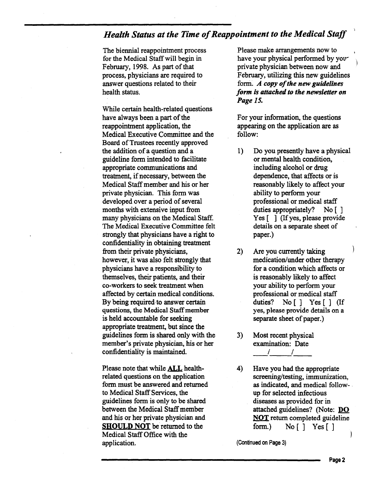# *Health Status at the Time of Reappointment to the Medical Staff*

The biennial reappointment process for the Medical Staff will begin in February, 1998. As part of that process, physicians are required to answer questions related to their health status.

While certain health-related questions have always been a part of the reappointment application, the Medical Executive Committee and the Board of Trustees recently approved the addition of a question and a guideline form intended to facilitate appropriate communications and treatment, if necessary, between the Medical Staff member and his or her private physician. This form was developed over a period of several months with extensive input from many physicians on the Medical Staff. The Medical Executive Committee felt strongly that physicians have a right to confidentiality in obtaining treatment from their private physicians, however, it was also felt strongly that physicians have a responsibility to themselves, their patients, and their co-workers to seek treatment when affected by certain medical conditions. By being required-to answer certain questions, the Medical Staff member is held accountable for seeking appropriate treatment, but since the guidelines form is shared only with the member's private physician, his or her confidentiality is maintained.

Please note that while ALL healthrelated questions on the application form must be answered and returned to Medical Staff Services, the guidelines form is only to be shared between the Medical Staff member and his or her private physician and SHOULD NOT be returned to the Medical Staff Office with the application.

Please make arrangements now to have your physical performed by youprivate physician between now and February, utilizing this new guidelines form. *A copy of the new guidelines form is attached to the newsletter on Page 15.* 

For your information, the questions appearing on the application are as follow:

- 1) Do you presently have a physical or mental health condition, including alcohol or drug dependence, that affects or is reasonably likely to affect your ability to perform your professional or medical staff duties appropriately? No [ ] Yes [ ] (If yes, please provide details on a separate sheet of paper.)
- 2) Are you currently taking medication/under other therapy for a condition which affects or is reasonably likely to affect your ability to perform your professional or medical staff duties? No [ ] Yes [ ] (If yes, please provide details on a separate sheet of paper.)
- 3) Most recent physical examination: Date
- 4) Have you had the appropriate screening/testing, immunization, as indicated, and medical follow- . up for selected infectious diseases as provided for in attached guidelines? (Note: DO NOT return completed guideline form.) No  $\lceil \cdot \rceil$  Yes  $\lceil \cdot \rceil$

(Continued on Page 3)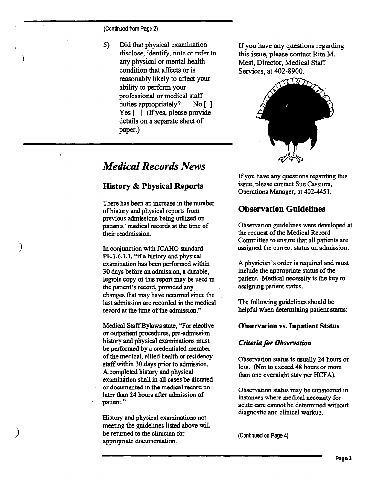(Continued from Page 2)

5) Did that physical examination disclose, identify, note or refer to any physical or mental health condition that affects or is reasonably likely to affect your ability to perform your professional or medical staff · duties appropriately? No [ ] Yes [ ] (If yes, please provide \, details on a separate sheet of paper.)

# *Medical Records News*

# History & Physical Reports

There has been an increase in the number of history and physical reports from previous admissions being utilized on patients' medical records at the time of their readmission.

)

)

In conjunction with JCAHO standard PE.1.6.1.1, "if a history and physical examination has been performed within 30 days before an admission, a durable, legible copy of this report may be used in the patient's record, provided any changes that may have occurred since the last admission are recorded in the medical record at the time of the admission."

Medical Staff Bylaws state, "For elective or outpatient procedures, pre-admission history and physical examinations must be performed by a credentialed member of the medical, allied health or residency staff within 30 days prior to admission. A completed history and physical examination shall in all cases be dictated or documented in the medical record no later than 24 hours after admission of patient."

History and physical examinations not meeting the guidelines listed above will be returned te the clinician for appropriate documentation.

If you have any questions regarding this issue, please contact Rita M. Mest, Director, Medical Staff Services, at 402-8900.



If you have any questions regarding this issue, please contact Sue Cassium, Operations Manager, at 402-4451.

# Observation Guidelines

Observation guidelines were developed at the request of the Medical Record Committee to ensure that all patients are assigned the correct status on admission.

A physician's order is required and must include the appropriate status of the patient. Medical necessity is the key to assigning patient status.

The following guidelines should be helpful when determining patient status:

### Observation vs. Inpatient Status

### *Criteria for Observation*

Observation status is usually 24 hours or less. (Not to exceed 48 hours or more than one overnight stay per HCFA).

Observation status may be considered in instances where medical necessity for acute care cannot be determined without diagnostic and clinical workup.

(Continued on Page 4)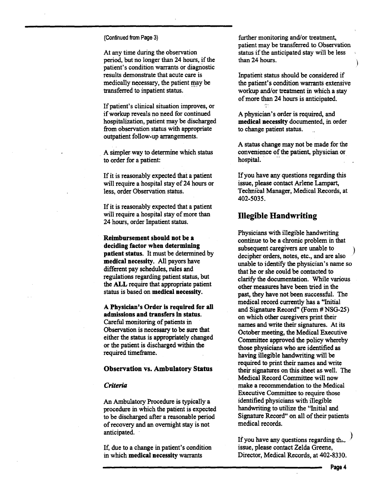#### (Continued from Page 3)

At any time during the observation period, but no longer than 24 hours, if the patient's condition warrants or diagnostic results demonstrate that acute care is medically necessary, the patient may be transferred to inpatient status.

If patient's clinical situation improves, or if workup reveals no need for continued hospitalization, patient may be discharged from observation status with appropriate outpatient follow-up arrangements.

A simpler way to determine which status to order for a patient:

If it is reasonably expected that a patient will require a hospital stay of 24 hours or less, order Observation status.

If it is reasonably expected that a patient will require a hospital stay of more than 24 hours, order Inpatient status.

Reimbursement should not be a deciding factor when determining patient status. It must be determined by medical necessity. All payors have different pay schedules, rules and regulations regarding patient status, but the ALL require that appropriate patient status is based on medical necessity.

A Physician's Order is required for all admissions and transfers in status. Careful monitoring of patients in Observation is necessary to be sure that either the status is appropriately changed or the patient is discharged within the required timeframe.

#### Observation vs. Ambulatory Status

#### *Criteria*

An Ambulatory Procedure is typically a procedure in which the patient is expected to be discharged after a reasonable period of recovery and an overnight stay is not anticipated.

If, due to a change in patient's condition in which medical necessity warrants

further monitoring and/or treatment, patient may be transferred to Observation status if the anticipated stay will be less than 24 hours.

Inpatient status should be considered if the patient's condition warrants extensive workup and/or treatment in which a stay of more than 24 hours is anticipated. ÷

A physician's order is required, and medical necessity documented, in order to change patient status.

A status change may not be made for the convenience of the patient, physician or hospital.

If you have any questions regarding this issue, please contact Arlene Lampart, Technical Manager, Medical Records, at 402-5035.

### Illegible Handwriting

Physicians with illegible handwriting continue to be a chronic problem in that subsequent caregivers are unable to decipher orders, notes, etc., and are also unable to identify the physician's name so that he or she could be contacted to clarify the documentation. While various other measures have been tried in the past, they have not been successful. The medical record currently has a "Initial and Signature Record" (Form # NSG-25) on which other caregivers print their names and write their signatures. At its October meeting, the Medical Executive Committee approved the policy whereby those physicians who are identified as having illegible handwriting will be required to print their names and write their signatures on this sheet as well. The Medical Record Committee will now make a recommendation to the Medical Executive Committee to require those identified physicians with illegible handwriting to utilize the "Initial and Signature Record" on all of their patients medical records.

If you have any questions regarding th..~ *)*  issue, please contact Zelda Greene, Director, Medical Records, at 402-8330.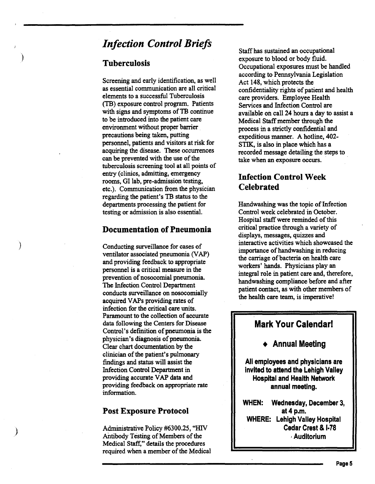# *Infection Control Briefs*

### **Tuberculosis**

)

)

)

Screening and early identification, as well as essential communication are all critical elements to a successful Tuberculosis (TB) exposure control program. Patients with signs and symptoms of TB continue to be introduced into the patient care environment without proper barrier precautions being taken, putting personnel, patients and visitors at risk for acquiring the disease. These occurrences can be prevented with the use of the tuberculosis screening tool at all points of entry (clinics, admitting, emergency rooms, GI lab, pre-admission testing, etc.). Communication from the physician regarding the patient's TB status to the departments processing the patient for testing or admission is also essential.

## **Documentation of Pneumonia**

Conducting surveillance for cases of ventilator associated pneumonia (VAP) and providing feedback to appropriate personnel is a critical measure in the prevention of nosocomial pneumonia. The Infection Control Department conducts surveillance on nosocomially acquired VAPs providing rates of infection for the critical care units. Paramount to-the collection of accurate data following the Centers for Disease Control's definition of pneumonia is the physician's diagnosis of pneumonia. Clear chart documentation by the clinician of the patient's pulmonary findings and status will assist the Infection Control Department in providing accurate VAP data and providing feedback on appropriate rate information.

# **Post Exposure Protocol**

Administrative Policy #6300.25, "HIV Antibody Testing of Members of the Medical Staff," details the procedures required when a member of the Medical

Staff has sustained an occupational exposure to blood or body fluid. Occupational exposures must be handled according to Pennsylvania Legislation Act 148, which protects the confidentiality rights of patient and health care providers. Employee Health Services and Infection Control are available on call 24 hours a day to assist a Medical Staff member through the process in a strictly confidential and expeditious manner. A hotline, 402- STIK, is also in place which has a recorded message detailing the steps to . take when an exposure occurs.

# **Infection Control Week Celebrated**

Handwashing was the topic of Infection Control week celebrated in October. Hospital staff were reminded of this critical practice through a variety of displays, messages, quizzes and interactive activities which showcased the importance of handwashing in reducing the carriage of bacteria on health care workers' hands. Physicians play an integral role in patient care and, therefore, handwashing compliance before and after patient contact, as with other members of the health care team, is imperative!

# **Mark Your Calendar!**  • **Annual Meeting All employees and physicians are invited to attend the Lehigh Valley Hospital and Health Network annual meeting. WHEN: Wednesday, December 3, at4 p.m. WHERE: Lehigh Valley Hospital Cedar Crest & 1·78**  , **Auditorium**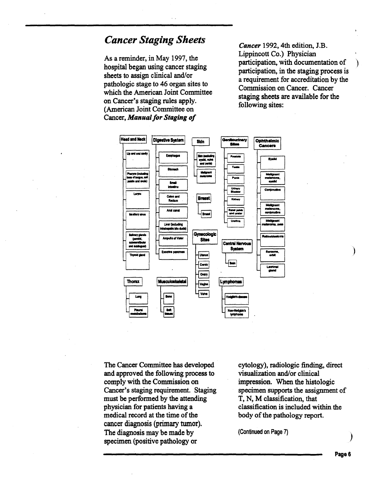# *Cancer Staging Sheets*

As a reminder, in May 1997, the hospital began using cancer staging sheets to assign clinical and/or pathologic stage to 46 organ sites to which the American Joint Committee on Cancer's staging rules apply. (American Joint Committee on Cancer, *Manual for Staging of* 

*Cancer* 1992, 4th edition, J.B. Lippincott Co.) Physician participation, with documentation of ) participation, in the staging process is a requirement for accreditation by the Commission on Cancer. Cancer staging sheets are available for the following sites:



The Cancer Committee has developed and approved the following process to comply with the Commission on Cancer's staging requirement. Staging must be performed by the attending physician for patients having a medical record at the time of the cancer diagnosis (primary tumor). The diagnosis may be made by specimen (positive pathology or

cytology), radiologic finding, direct visualization and/or clinical impression. When the histologic specimen supports the assignment of T, N, M classification, that classification is included within the body of the pathology report.

(Continued on Page 7)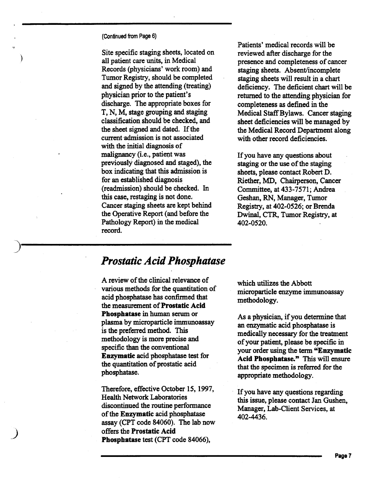(Continued from Page 6)

)

*\_)* 

Site specific staging sheets, located on all patient care units, in Medical Records (physicians' work room) and Tumor Registry, should be completed and signed by the attending (treating) physician prior to the patient's discharge. The appropriate boxes for T, N, M, stage grouping and staging classification should be checked, and the sheet signed and dated. If the current·admission is not associated with the initial diagnosis of malignancy (i.e., patient was previously diagnosed and staged), the box indicating that this admission is for an established diagnosis (readmission) should be checked. In this case, restaging is not done. Cancer staging sheets are kept behind the Operative Report (and before the Pathology Report) in the medical record. Fathology Report) in the medical<br>record. Patients' medical records will be reviewed after discharge for the presence and completeness of cancer staging sheets. Absent/incomplete staging sheets will result in a chart deficiency. The deficient chart will be returned to the attending physician for completeness as defined in the Medical Staff Bylaws. Cancer staging sheet deficiencies will be managed by the Medical Record Department along with other record deficiencies.

If you have any questions about staging or the use of the staging sheets, please contact Robert D. Riether, MD, Chairperson, Cancer Committee, at 433-7571; Andrea Geshan, RN, Manager, Tumor Registry, at 402-0526; or Brenda Dwinal, CTR, Tumor Registry, at 402-0520.

# *Prostatic Acid Phosphatase*

A review of the clinical relevance of various methods for the quantitation of acid phosphatase has confirmed that the measurement of Prostatic Acid Phosphatase in human serum or plasma by microparticle immunoassay is the preferred method. This methodology is more precise and specific than the conventional Enzymatic acid phosphatase test for the quantitation of prostatic acid phosphatase.

Therefore, effective October 15, 1997, Health Network Laboratories discontinued the routine performance of the Enzymatic acid phosphatase assay (CPT code 84060). The lab now offers the Prostatic Acid Phosphatase test (CPT code 84066),

which utilizes the Abbott microparticle enzyme immunoassay methodology.

As a physician, if you determine that an enzymatic acid phosphatase is medically necessary for the treatment of your patient, please be specific in your order using the term "Enzymatic Acid Phosphatase." This will ensure that the specimen is referred for the appropriate methodology.

If you have any questions regarding this issue, please contact Jan Gushen, Manager, Lab-Client Services, at 402-4436.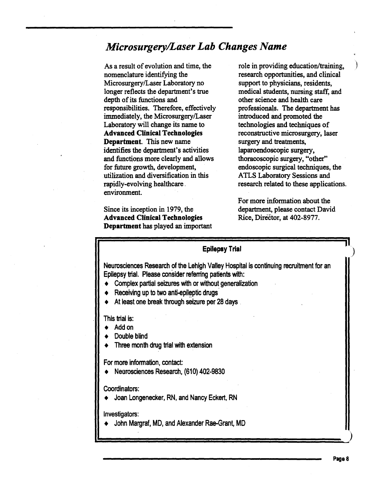# *Microsurgery/Laser Lab Changes Name*

As a result of evolution and time, the nomenclature identifying the Microsurgery/Laser Laboratory no longer reflects the department's true depth of its functions and responsibilities. Therefore, effectively immediately, the Microsurgery/Laser Laboratory will change its name to Advanced Clinical Technologies Department. This new name identifies the department's activities and functions more clearly and allows for future growth, development, utilization and diversification in this rapidly-evolving healthcare . environment.

Since its inception in 1979, the Advanced Clinical Technologies Department has played an important

role in providing education/training, research opportunities, and clinical support to physicians, residents, medical students, nursing staff, and other science and health care professionals. The department has introduced and promoted the technologies and techniques of reconstructive microsurgery, laser surgery and treatments, laparoendoscopic surgery, thoracoscopic surgery, "other" endoscopic surgical techniques, the ATLS Laboratory Sessions and research related to these applications.

For more information about the department, please contact David Rice, Director, at 402-8977.

#### Epilepsy Trial

~============================~)

Neurosciences Research of the Lehigh Valley Hospital is continuing recruitment for an Epilepsy trial. Please consider referring patients with:

- $\bullet$  Complex partial seizures with or without generalization
- $\bullet$  Receiving up to two anti-epileptic drugs
- At least one break through seizure per 28 days .

This trial is:

- Addon
- Double blind
- Three month drug trial with extension

For more information, contact:

Neurosciences Research, (610) 402-9830

#### Coordinators:

• Joan Longenecker, RN, and Nancy Eckert, RN

Investigators:

• John Margraf, MD, and Alexander Rae-Grant, MD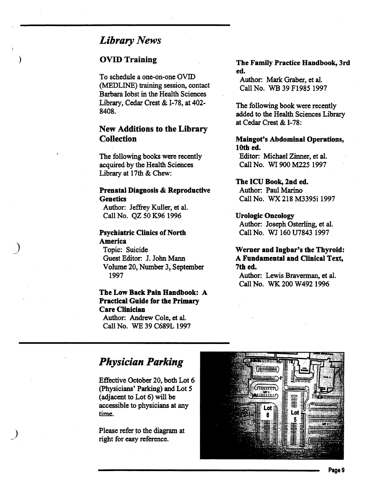# *Library News*

### OVID Training

)

 $\big)$ 

)

To schedule a one-on-one OVID (MEDLINE) training session, contact Barbara Jobst in the Health Sciences Library, Cedar Crest & 1-78, at 402- 8408.

# New Additions to the Library Collection

The following books were recently acquired by the Health Sciences Library at 17th & Chew:

### Prenatal Diagnosis & Reproductive **Genetics**

Author: Jeffrey Kuller, et al. Call No. QZ *50* K96 1996

### Psychiatric Clinics of North America

Topic: Suicide Guest Editor: J. John Mann Volume 20, Number 3, September 1997

### The Low Back Pain Handbook: A Practical Guide for the Primary Care Clinician

Author: Andrew Cole, et al. Call No. WE 39 C689L 1997 The Family Practice Handbook, 3rd ed.

Author: Mark Graber, et al. Call No. WB 39 F1985 1997

The following book were recently added to the Health Sciences Library at Cedar Crest & 1-78:

Maingot's Abdominal Operations, lOth ed.

Editor: Michael Zinner, et al. Call No. WI 900 M225 1997

#### The ICU Book, 2nd ed.

Author: Paul Marino Call No. WX 218 M3395i 1997

#### Urologic Oncology

Author: Joseph Osterling, et al. Call No. WJ 160 U7843 1997

### Werner and Ingbar's the Thyroid: A Fundamental and Clinical Text, 7th ed.

Author: Lewis Braverman, et al. Call No. WK. 200 W492 1996

# *Physician Parking*

Effective October 20, both Lot 6 (Physicians' Parking) and Lot *5*  (adjacent to Lot 6) will be accessible to physicians at any time.

Please refer to the diagram at right for easy reference.

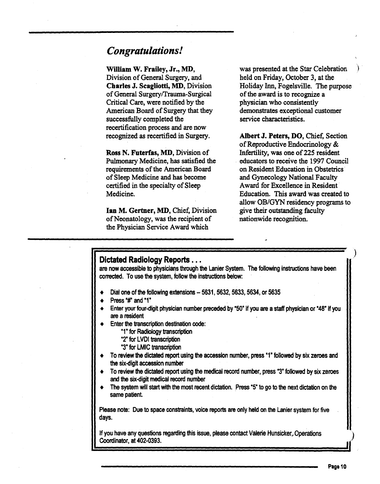# *Congratulations!*

#### William W. Frailey, Jr., MD,

Division of General Surgery, and Charles J. Scagliotti, MD, Division of General Surgery/Trauma-Surgical Critical Care, were notified by the American Board of Surgery that they successfully completed the recertification process and are now recognized as recertified in Surgery.

Ross N. Futerfas, MD, Division of Pulmonary Medicine, has satisfied the requirements of the American Board of Sleep Medicine and has become certified in the specialty of Sleep Medicine.

Ian M. Gertner, MD, Chief, Division of Neonatology, was the recipient of the Physician Service Award which

was presented at the Star Celebration held on Friday, October 3, at the Holiday Inn, Fogelsville. The purpose of the award is to recognize a physician who consistently demonstrates exceptional customer service characteristics.

Albert J. Peters, DO, Chief, Section of Reproductive Endocrinology & Infertility, was one of22S resident educators to receive the 1997 Council on Resident Education in Obstetrics· and Gynecology National Faculty Award for Excellence in Resident Education. This award was created to allow OB/GYN residency programs to give their outstanding faculty nationwide recognition.

#### Dictated Radiology Reports ...

are now accessible to physicians through the Lanier System. The following instructions have been corrected. To use the system, follow the instructions below:

- Dial one of the following extensions  $-$  5631, 5632, 5633, 5634, or 5635
- Press "#" and "1"
- Enter your four-digit physician number preceded by "50" if you are a staff physician or "48" if you are a resident
- Enter the transcription destination code:
	- "1" for Radiology transcription
	- "2" for LVDI transcription
	- "3" for LMIC transcription
- To review the dictated report using the accession number, press "1" followed by six zeroes and the six-digit accession number
- To review the dictated report using the medical record number, press "3" followed by six zeroes and the six-digit medical record number
- The system will start with the most recent dictation. Press "5" to go to the next dictation on the same patient

Please note: Due to space constraints, voice reports are only held on the Lanier system for five days.

If you have any questions regarding this issue, please contact Valerie Hunsicker, Operations Coordinator, at 402-0393.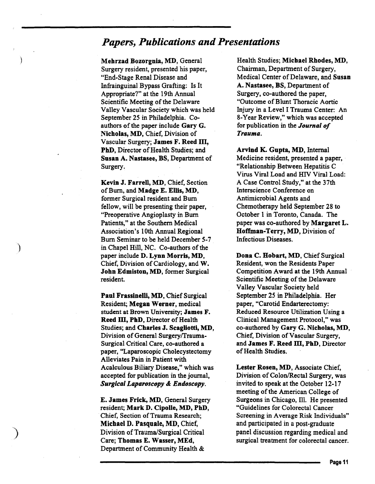# *Papers, Publications and Presentations*

Mehrzad Bozorgnia, MD, General Surgery resident, presented his paper, "End-Stage Renal Disease and lnfrainguinal Bypass Grafting: Is It Appropriate?" at the 19th Annual Scientific Meeting of the Delaware Valley Vascular Society which was held September 25 in Philadelphia. Coauthors of the paper include Gary G. Nicholas, MD, Chief, Division of Vascular Surgery; James F. Reed III, PhD, Director of Health Studies; and Susan A. Nastasee, BS, Department of Surgery.

Kevin J. Farrell, MD, Chief, Section of Burn, and Madge E. Ellis, MD, former Surgical resident and Bum fellow, will be presenting their paper, "Preoperative Angioplasty in Bum Patients," at the Southern Medical Association's 1Oth Annual Regional Burn Seminar to be held December 5-7 in Chapel Hill, NC. Co-authors of the paper include D. Lynn Morris, MD, Chief, Division of Cardiology, and W. John Edmiston, MD, former Surgical resident.

)

)

Paul Frassinelli, MD, Chief Surgical Resident; Megan Werner, medical student at Brown University; James F. Reed III, PhD, Director of Health Studies; and Charles J. Scagliotti, MD, Division of General Surgery/Trauma-Surgical Critical Care, co-authored a paper, "Laparoscopic Cholecystectomy Alleviates Pain in Patient with Acalculous Biliary Disease," which was accepted for publication in the journal, *Surgical Laparoscopy* & *Endoscopy.* 

E. James Frick, MD, General Surgery resident; Mark D. Cipolle, MD, PhD, Chief, Section of Trauma Research; Michael D. Pasquale, MD, Chief, Division of Trauma/Surgical Critical Care; Thomas E. Wasser, MEd, Department of Community Health &

Health Studies; Michael Rhodes, MD, Chairman, Department of Surgery, Medical Center of Delaware, and Susan A. Nastasee, BS, Department of Surgery, co-authored the paper, "Outcome of Blunt Thoracic Aortic Injury in a Level I Trauma Center: An 8-Year Review," which was accepted for publication in the *Journal of Trauma.* 

Arvind K. Gupta, MD, Internal Medicine resident, presented a paper, "Relationship Between Hepatitis C Virus Viral Load and HIV Viral Load: A Case Control Study," at the 37th Interscience Conference on Antimicrobial Agents and Chemotherapy held September 28 to October 1 in Toronto, Canada. The paper was co-authored by Margaret L. Hoffman-Terry, MD, Division of Infectious Diseases.

Dona C. Hobart, MD, Chief Surgical Resident, won the Residents Paper Competition Award at the 19th Annual Scientific Meeting of the Delaware Valley Vascular Society held September 25 in Philadelphia. Her paper, "Carotid Endarterectomy: Reduced Resource Utilization Using a Clinical Management Protocol," was co-authored by Gary G. Nicholas, MD, Chief, Division of Vascular Surgery, and James F. Reed III, PhD, Director of Health Studies.

Lester Rosen, MD, Associate Chief, Division of Colon/Rectal Surgery, was invited to speak at the October 12-17 meeting of the American College of Surgeons in Chicago, Ill. He presented "Guidelines for Colorectal Cancer Screening in Average Risk Individuals" and participated in a post-graduate panel discussion regarding medical and surgical treatment for colorectal cancer.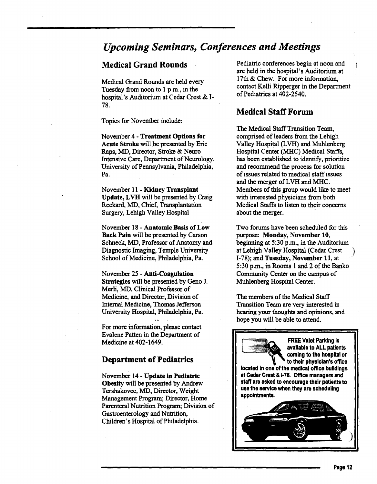# *Upcoming Seminars, Conferences and Meetings*

### Medical Grand Rounds

Medical Grand Rounds are held every Tuesday from noon to 1 p.m., in the hospital's Auditorium at Cedar Crest & 1- 78.

Topics for November include:

November 4 - Treatment Options for Acute Stroke will be presented by Eric Raps, MD, Director, Stroke & Neuro Intensive Care, Department of Neurology, University of Pennsylvania, Philadelphia, Pa.

November 11 - Kidney Transplant Update, LVH will be presented by Craig Reckard, MD, Chief, Transplantation Surgery, Lehigh Valley Hospital

November 18 - Anatomic Basis of Low Back Pain will be presented by Carson Schneck, MD, Professor of Anatomy and Diagnostic Imaging, Temple University School of Medicine, Philadelphia, Pa.

November 25 - Anti-Coagulation Strategies will be presented by Geno J. Merli, MD, Clinical Professor of Medicine, and Director, Division of Internal Medicine, Thomas Jefferson University Hospital, Philadelphia, Pa.

For more information, please contact Evalene Patten in the Department of Medicine at 402-1649.

### Department of Pediatrics

November 14- Update in Pediatric Obesity will be presented by Andrew Tershakovec, MD, Director, Weight Management Program; Director, Home Parenteral Nutrition Program; Division of Gastroenterology and Nutrition, Children's Hospital of Philadelphia.

Pediatric conferences begin at noon and are held in the hospital's Auditorium at 17th & Chew. For more information, contact Kelli Ripperger in the Department of Pediatrics at 402-2540.

## Medical Staff Forum

The Medical Staff Transition Team, comprised of leaders from the Lehigh Valley Hospital (LVH) and Muhlenberg Hospital Center (MHC) Medical Staffs, has been established to identify, prioritize and recommend the process for solution of issues related to medical staff issues and the merger of LVH and MHC. Members of this group would like to meet with interested physicians from both Medical Staffs to listen to their concerns about the merger.

Two forums have been scheduled for this purpose: Monday, November 10, beginning at  $5:30$  p.m., in the Auditorium at Lehigh Valley Hospital (Cedar Crest ) 1-78); and Tuesday, November 11, at 5:30 p.m., in Rooms 1 and 2 of the Banko Community Center on the campus of Muhlenberg Hospital Center.

The members of the Medical Staff Transition Team are very interested in hearing your thoughts and opinions, and hope you will be able to attend.

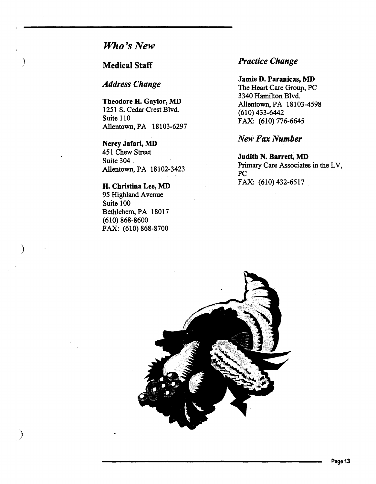# *Who's New*

Medical Staff

# *Address Change*

Theodore H. Gaylor, MD 1251 S. Cedar Crest Blvd. Suite 110 Allentown, PA 18103-6297

Nercy Jafari, MD 451 Chew Street Suite 304 . Allentown, PA 18102-3423

### H. Christina Lee, MD 95 Highland Avenue Suite 100 Bethlehem, PA 18017  $(610)$  868-8600 FAX: (610) 868-8700

)

# *Practice Change*

#### Jamie D. Paranicas, MD

The Heart Care Group, PC 3340 Hamilton Blvd. Allentown, PA 18103-4598 (610) 433-6442 FAX: (610) 776-6645

## *New Fax Number*

#### Judith N. Barrett, MD

Primary Care Associates in the LV, PC PC and the state of the state of the state of the state of the state of the state of the state of the state of the state of the state of the state of the state of the state of the state of the state of the state of the sta FAX: (610) 432-6517

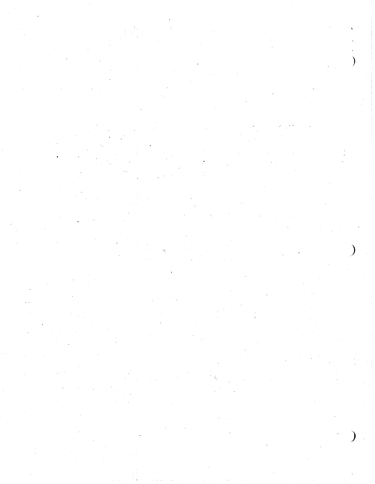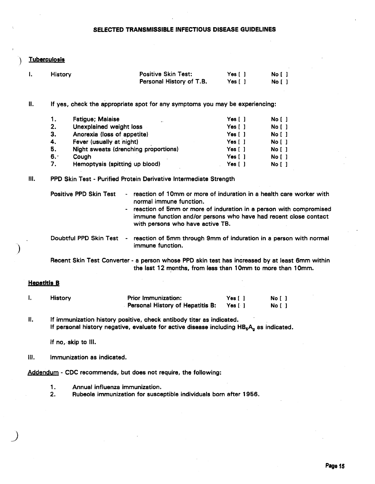#### SELECTED TRANSMISSIBLE INFECTIOUS DISEASE GUIDELINES

#### **Tuberculosis**

| <b>History</b> | <b>Positive Skin Test:</b> | Yes [ 1 | No [ ] |
|----------------|----------------------------|---------|--------|
|                | Personal History of T.B.   | Yes [ ] | No [ ] |

II. If yes, check the appropriate spot for any symptoms you may be experiencing:

| $\mathbf{1}$ . | <b>Fatigue; Malaise</b><br>$\ddot{\phantom{a}}$ | Yes [ ]          | No [ 1          |
|----------------|-------------------------------------------------|------------------|-----------------|
| 2.             | Unexplained weight loss                         | Yes I            | No [ ]          |
| 3.             | Anorexia (loss of appetite)                     | Yes [ ]          | No [ ]          |
| 4.             | Fever (usually at night)                        | $Yes []$         | No <sub>1</sub> |
| 5.             | Night sweats (drenching proportions)            | Yes <sub>1</sub> | No <sub>1</sub> |
| 6.             | Cough                                           | Yes <sub>1</sub> | No f 1          |
| 7.             | Hemoptysis (spitting up blood)                  | Yes <sub>1</sub> | No <sub>1</sub> |

#### Ill. PPD Skin Test- Purified Protein Derivative Intermediate Strength

| <b>Positive PPD Skin Test</b> | - reaction of 10mm or more of induration in a health care worker with<br>normal immune function.<br>- reaction of 5mm or more of induration in a person with compromised<br>immune function and/or persons who have had recent close contact<br>with persons who have active TB. |
|-------------------------------|----------------------------------------------------------------------------------------------------------------------------------------------------------------------------------------------------------------------------------------------------------------------------------|
|                               | Doubtful PPD Skin Test - reaction of 5mm through 9mm of induration in a person with normal<br>immune function.                                                                                                                                                                   |
|                               |                                                                                                                                                                                                                                                                                  |

Recent Skin Test Converter- a person whose PPD skin test has increased by at least 6mm within the last 12 months, from less than 10mm to more than 10mm.

#### Hepatitis B

)

*\_)* 

| <b>History</b> | <b>Prior Immunization:</b>       | Yes i   | No [ ] |
|----------------|----------------------------------|---------|--------|
|                | Personal History of Hepatitis B: | Yes [ ] | No [ ] |

II. If immunization history positive, check antibody titer as indicated. If personal history negative, evaluate for active disease including  $\text{HB}_s\text{A}_g$  as indicated.

If no, skip to Ill.

Ill. Immunization as indicated.

Addendum - CDC recommends, but does not require, the following:

- 1. Annual influenza immunization.
- 2. Rubeola immunization for susceptible individuals born after 1956.